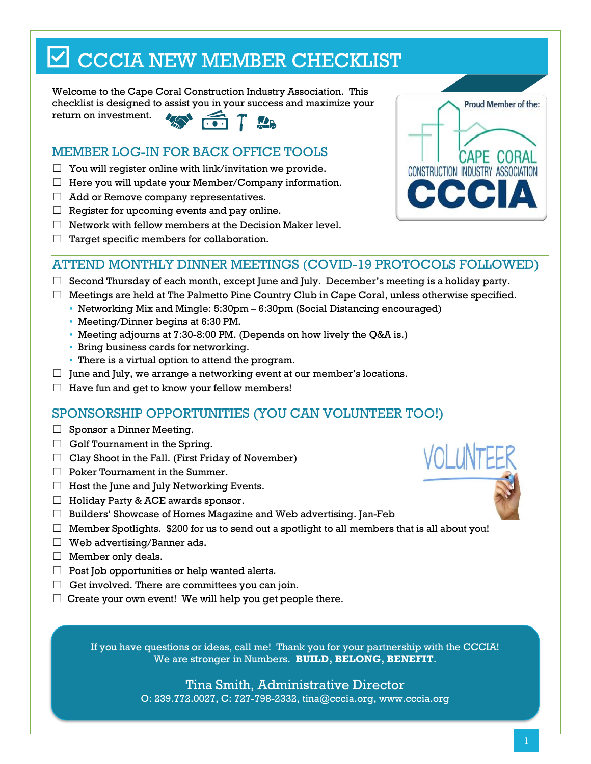# $\boxdot$  CCCIA NEW MEMBER CHECKLIST

Welcome to the Cape Coral Construction Industry Association. This checklist is designed to assist you in your success and maximize your return on investment.

# MEMBER LOG-IN FOR BACK OFFICE TOOLS

- $\Box$  You will register online with link/invitation we provide.
- $\Box$  Here you will update your Member/Company information.
- $\Box$  Add or Remove company representatives.
- $\Box$  Register for upcoming events and pay online.
- $\Box$  Network with fellow members at the Decision Maker level.
- $\Box$  Target specific members for collaboration.



## ATTEND MONTHLY DINNER MEETINGS (COVID-19 PROTOCOLS FOLLOWED)

- $\Box$  Second Thursday of each month, except June and July. December's meeting is a holiday party.
- $\Box$  Meetings are held at The Palmetto Pine Country Club in Cape Coral, unless otherwise specified.
	- Networking Mix and Mingle: 5:30pm 6:30pm (Social Distancing encouraged)
		- Meeting/Dinner begins at 6:30 PM.
		- Meeting adjourns at 7:30-8:00 PM. (Depends on how lively the Q&A is.)
		- Bring business cards for networking.
	- There is a virtual option to attend the program.
- $\Box$  June and July, we arrange a networking event at our member's locations.
- $\Box$  Have fun and get to know your fellow members!

## SPONSORSHIP OPPORTUNITIES (YOU CAN VOLUNTEER TOO!)

- □ Sponsor a Dinner Meeting.
- $\Box$  Golf Tournament in the Spring.
- $\Box$  Clay Shoot in the Fall. (First Friday of November)
- ☐ Poker Tournament in the Summer.
- $\Box$  Host the June and July Networking Events.
- ☐ Holiday Party & ACE awards sponsor.
- ☐ Builders' Showcase of Homes Magazine and Web advertising. Jan-Feb
- $\Box$  Member Spotlights. \$200 for us to send out a spotlight to all members that is all about you!
- $\Box$  Web advertising/Banner ads.
- ☐ Member only deals.
- $\Box$  Post Job opportunities or help wanted alerts.
- $\Box$  Get involved. There are committees you can join.
- $\Box$  Create your own event! We will help you get people there.

If you have questions or ideas, call me! Thank you for your partnership with the CCCIA! We are stronger in Numbers. **BUILD, BELONG, BENEFIT**.

### Tina Smith, Administrative Director

O: 239.772.0027, C: 727-798-2332, tina[@cccia.org,](mailto:dawn@cccia.org) www.cccia.org

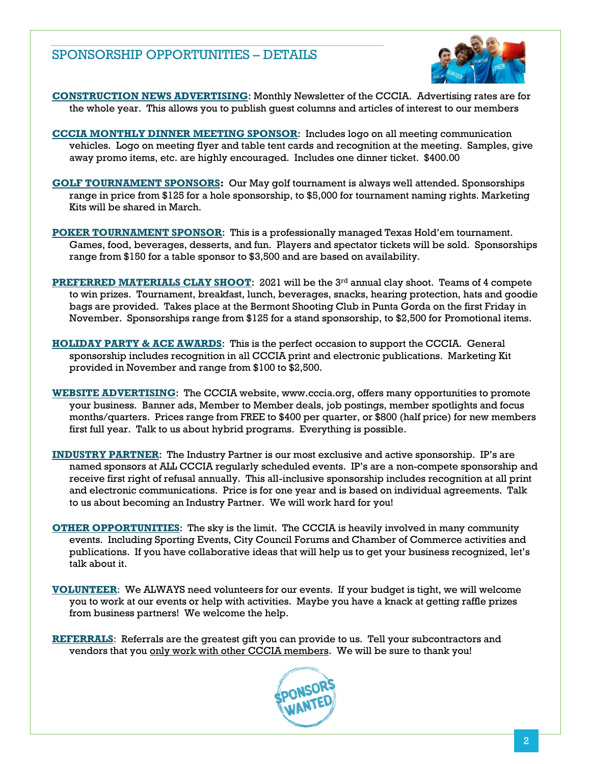## SPONSORSHIP OPPORTUNITIES – DETAILS



**CONSTRUCTION NEWS ADVERTISING**: Monthly Newsletter of the CCCIA. Advertising rates are for the whole year. This allows you to publish guest columns and articles of interest to our members

- **CCCIA MONTHLY DINNER MEETING SPONSOR**: Includes logo on all meeting communication vehicles. Logo on meeting flyer and table tent cards and recognition at the meeting. Samples, give away promo items, etc. are highly encouraged. Includes one dinner ticket. \$400.00
- **GOLF TOURNAMENT SPONSORS:** Our May golf tournament is always well attended. Sponsorships range in price from \$125 for a hole sponsorship, to \$5,000 for tournament naming rights. Marketing Kits will be shared in March.
- **POKER TOURNAMENT SPONSOR**: This is a professionally managed Texas Hold'em tournament. Games, food, beverages, desserts, and fun. Players and spectator tickets will be sold. Sponsorships range from \$150 for a table sponsor to \$3,500 and are based on availability.
- **PREFERRED MATERIALS CLAY SHOOT:** 2021 will be the 3<sup>rd</sup> annual clay shoot. Teams of 4 compete to win prizes. Tournament, breakfast, lunch, beverages, snacks, hearing protection, hats and goodie bags are provided. Takes place at the Bermont Shooting Club in Punta Gorda on the first Friday in November. Sponsorships range from \$125 for a stand sponsorship, to \$2,500 for Promotional items.
- **HOLIDAY PARTY & ACE AWARDS**: This is the perfect occasion to support the CCCIA. General sponsorship includes recognition in all CCCIA print and electronic publications. Marketing Kit provided in November and range from \$100 to \$2,500.
- **WEBSITE ADVERTISING**: The CCCIA website, www.cccia.org, offers many opportunities to promote your business. Banner ads, Member to Member deals, job postings, member spotlights and focus months/quarters. Prices range from FREE to \$400 per quarter, or \$800 (half price) for new members first full year. Talk to us about hybrid programs. Everything is possible.
- **INDUSTRY PARTNER**: The Industry Partner is our most exclusive and active sponsorship. IP's are named sponsors at ALL CCCIA regularly scheduled events. IP's are a non-compete sponsorship and receive first right of refusal annually. This all-inclusive sponsorship includes recognition at all print and electronic communications. Price is for one year and is based on individual agreements. Talk to us about becoming an Industry Partner. We will work hard for you!
- **OTHER OPPORTUNITIES**: The sky is the limit. The CCCIA is heavily involved in many community events. Including Sporting Events, City Council Forums and Chamber of Commerce activities and publications. If you have collaborative ideas that will help us to get your business recognized, let's talk about it.
- **VOLUNTEER**: We ALWAYS need volunteers for our events. If your budget is tight, we will welcome you to work at our events or help with activities. Maybe you have a knack at getting raffle prizes from business partners! We welcome the help.
- **REFERRALS**: Referrals are the greatest gift you can provide to us. Tell your subcontractors and vendors that you only work with other CCCIA members. We will be sure to thank you!